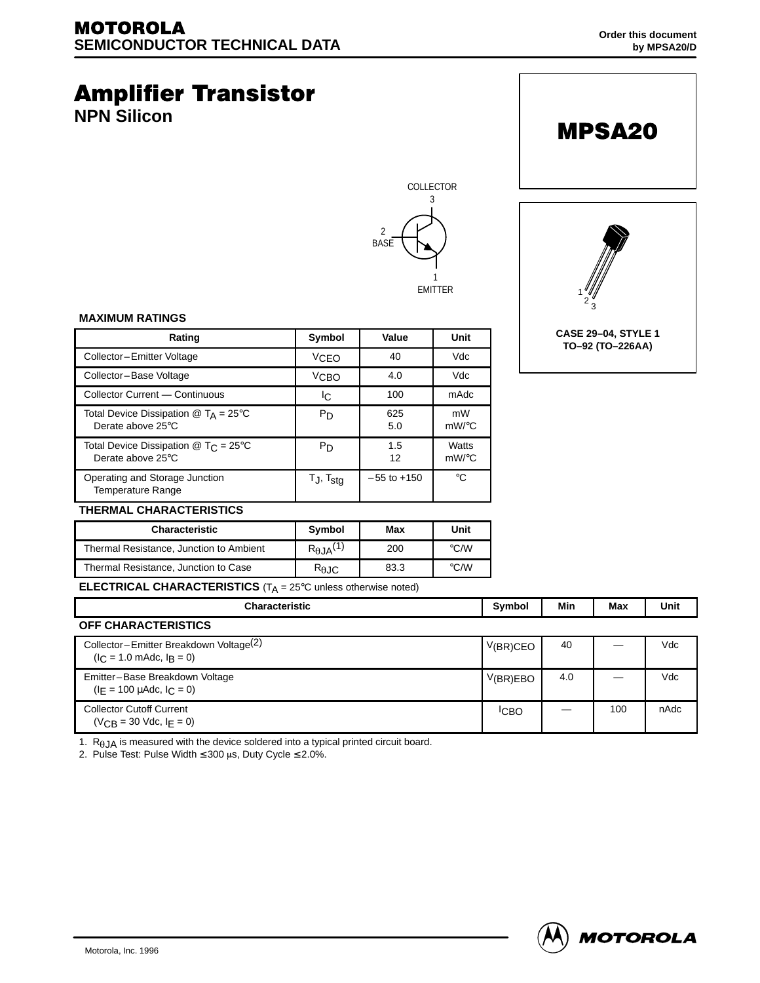# **Amplifier Transistor NPN Silicon CASE 29–04, STYLE 1 TO–92 (TO–226AA)** 1  $2\frac{6}{3}$ MPSA20 COLLECTOR 3 2 **BASE** 1 EMITTER

#### **MAXIMUM RATINGS**

| Rating                                                                                | Symbol            | Value           | Unit              |  |
|---------------------------------------------------------------------------------------|-------------------|-----------------|-------------------|--|
| Collector-Emitter Voltage                                                             | <b>VCEO</b>       | 40              | Vdc               |  |
| Collector-Base Voltage                                                                | $V$ CBO           | 4.0             | Vdc               |  |
| Collector Current - Continuous                                                        | lC.               | 100             | mAdc              |  |
| Total Device Dissipation $\textcircled{a}$ T <sub>A</sub> = 25°C<br>Derate above 25°C | P <sub>D</sub>    | 625<br>5.0      | mW<br>$mW$ /°C    |  |
| Total Device Dissipation $\textcircled{a}$ T <sub>C</sub> = 25°C<br>Derate above 25°C | P <sub>D</sub>    | 1.5<br>12       | Watts<br>$mW$ /°C |  |
| Operating and Storage Junction<br><b>Temperature Range</b>                            | $T_J$ , $T_{stg}$ | $-55$ to $+150$ | °C                |  |
| <b>THERMAL CHARACTERISTICS</b>                                                        |                   |                 |                   |  |



| <b>Characteristic</b>                   | <b>Symbol</b>         | Max  | Unit               |
|-----------------------------------------|-----------------------|------|--------------------|
| Thermal Resistance, Junction to Ambient | $R_{\theta JA}^{(1)}$ | 200  | $\rm ^{\circ}$ C/W |
| Thermal Resistance, Junction to Case    | $R_{0,IC}$            | 83.3 | $\rm ^{\circ}$ C/W |

**ELECTRICAL CHARACTERISTICS** (T<sub>A</sub> = 25°C unless otherwise noted)

| <b>Characteristic</b>                                                                         | Symbol           | Min | Max | Unit |
|-----------------------------------------------------------------------------------------------|------------------|-----|-----|------|
| OFF CHARACTERISTICS                                                                           |                  |     |     |      |
| Collector-Emitter Breakdown Voltage <sup>(2)</sup><br>$(I_C = 1.0 \text{ m}$ Adc, $I_R = 0$ ) | V(BR)CEO         | 40  |     | Vdc  |
| Emitter-Base Breakdown Voltage<br>$(I_F = 100 \mu \text{Adc}, I_C = 0)$                       | V(BR)EBO         | 4.0 |     | Vdc  |
| <b>Collector Cutoff Current</b><br>$(V_{CR} = 30$ Vdc, $I_F = 0$ )                            | <sup>I</sup> CBO |     | 100 | nAdc |

1.  $R_{\theta}$  JA is measured with the device soldered into a typical printed circuit board.

2. Pulse Test: Pulse Width  $\leq 300$  µs, Duty Cycle  $\leq 2.0\%$ .

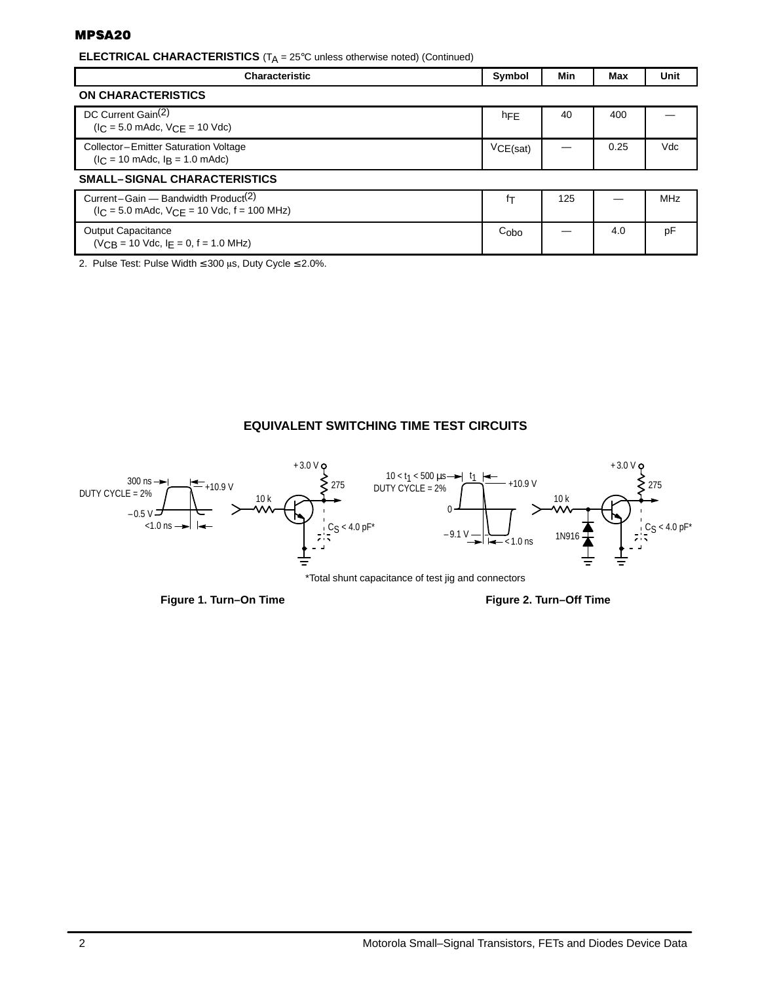### **MPSA20**

**ELECTRICAL CHARACTERISTICS** (T<sub>A</sub> = 25°C unless otherwise noted) (Continued)

| <b>Characteristic</b>                                                                                                   | Symbol           | Min | Max  | <b>Unit</b> |  |
|-------------------------------------------------------------------------------------------------------------------------|------------------|-----|------|-------------|--|
| <b>ON CHARACTERISTICS</b>                                                                                               |                  |     |      |             |  |
| DC Current Gain <sup>(2)</sup><br>$(I_C = 5.0 \text{ m}$ Adc, $V_{CF} = 10 \text{ V}$ dc)                               | hFE              | 40  | 400  |             |  |
| Collector-Emitter Saturation Voltage<br>$I_C = 10 \text{ m}$ Adc, $I_R = 1.0 \text{ m}$ Adc)                            | VCE(sat)         |     | 0.25 | Vdc         |  |
| <b>SMALL-SIGNAL CHARACTERISTICS</b>                                                                                     |                  |     |      |             |  |
| Current-Gain — Bandwidth Product <sup>(2)</sup><br>$(I_C = 5.0 \text{ m}$ Adc, $V_{CF} = 10 \text{ Vdc}$ , f = 100 MHz) | İΤ               | 125 |      | <b>MHz</b>  |  |
| <b>Output Capacitance</b><br>$(V_{CB} = 10$ Vdc, $I_F = 0$ , $f = 1.0$ MHz)                                             | C <sub>obo</sub> |     | 4.0  | pF          |  |

2. Pulse Test: Pulse Width  $\leq 300$  µs, Duty Cycle  $\leq 2.0\%$ .

# **EQUIVALENT SWITCHING TIME TEST CIRCUITS**



Figure 1. Turn–On Time **Figure 2. Turn–Off Time**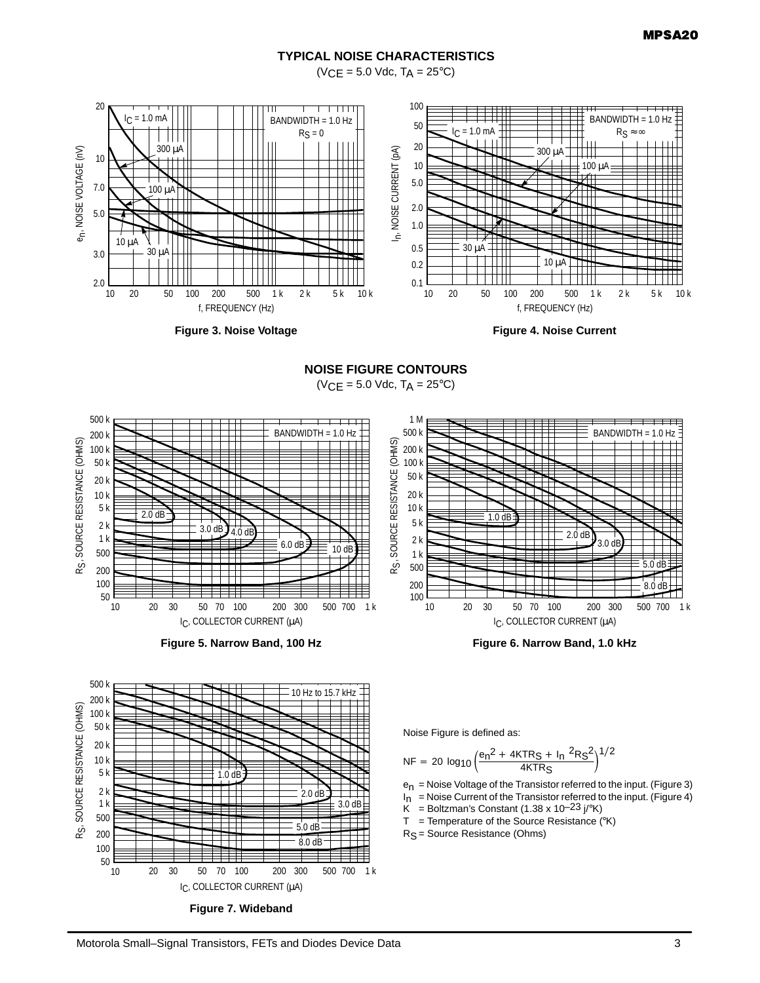## **TYPICAL NOISE CHARACTERISTICS**

 $(VCE = 5.0$  Vdc,  $T_A = 25$ °C)



**Figure 3. Noise Voltage**



**NOISE FIGURE CONTOURS**

 $(VCE = 5.0$  Vdc,  $T_A = 25^{\circ}C)$ 







500 k 10 Hz to 15.7 kHz 200 k SOURCE RESISTANCE (OHMS) RS, SOURCE RESISTANCE (OHMS) 100 k 50 k 20 k 10 k 5 k 1.0 dB 2 k 2.0 dB 1 k  $3.0 dF$ 500 5.0 dB R<sub>S</sub> 200 8.0 dB Ħ 100 50 10 20 30 50 70 100 200 300 500 700 1 k IC, COLLECTOR CURRENT (µA) **Figure 7. Wideband**



$$
NF = 20 \log_{10} \left( \frac{e_n^2 + 4KTR_S + I_n^2 R_S^2}{4KTR_S} \right)^{1/2}
$$

e<sub>n</sub> = Noise Voltage of the Transistor referred to the input. (Figure 3)

 $I_n$  = Noise Current of the Transistor referred to the input. (Figure 4)

 $\ddot{K}$  = Boltzman's Constant (1.38 x 10<sup>-23</sup> j/°K)

 $T = T$ emperature of the Source Resistance (°K)

R<sub>S</sub> = Source Resistance (Ohms)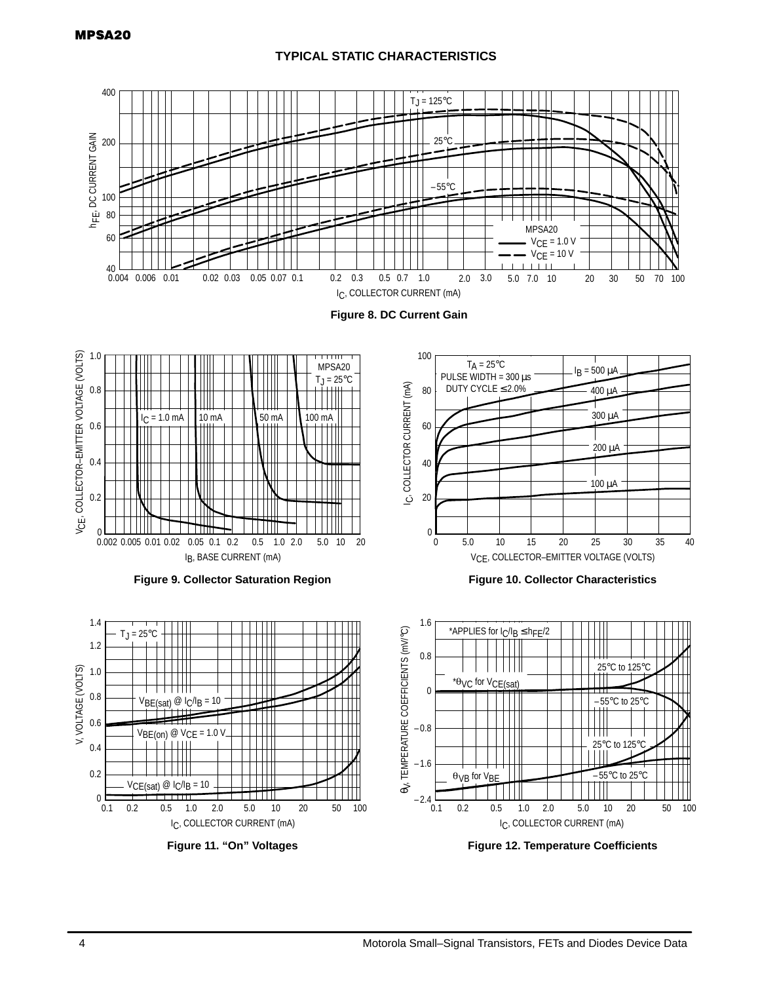# **TYPICAL STATIC CHARACTERISTICS**



**Figure 12. Temperature Coefficients**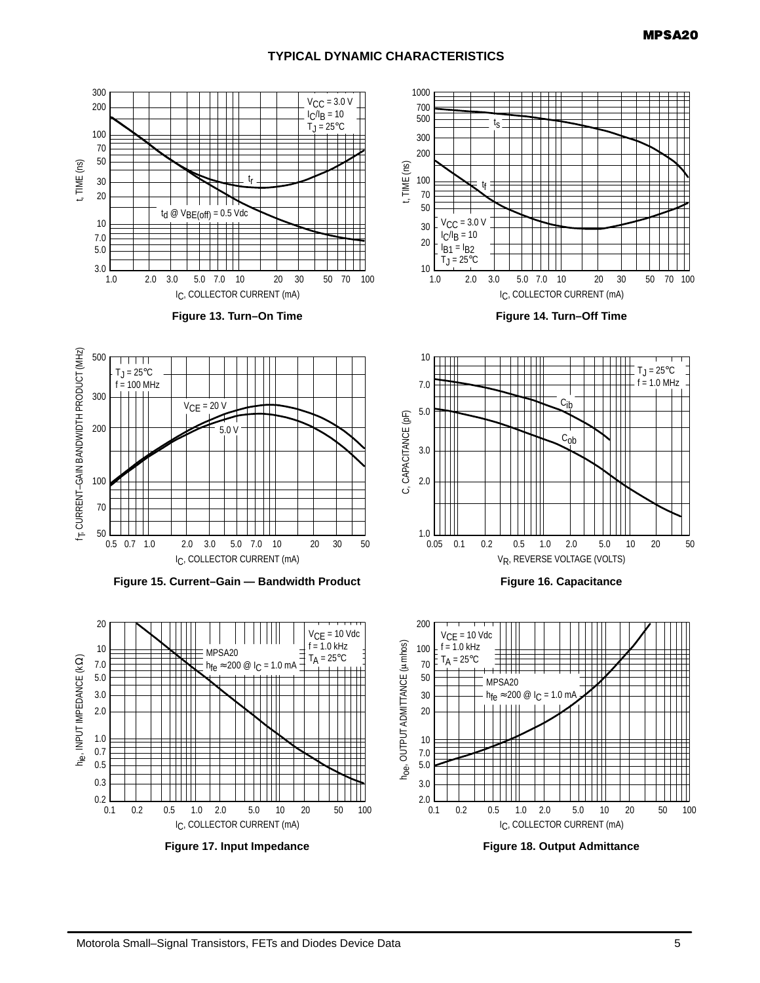# **TYPICAL DYNAMIC CHARACTERISTICS**

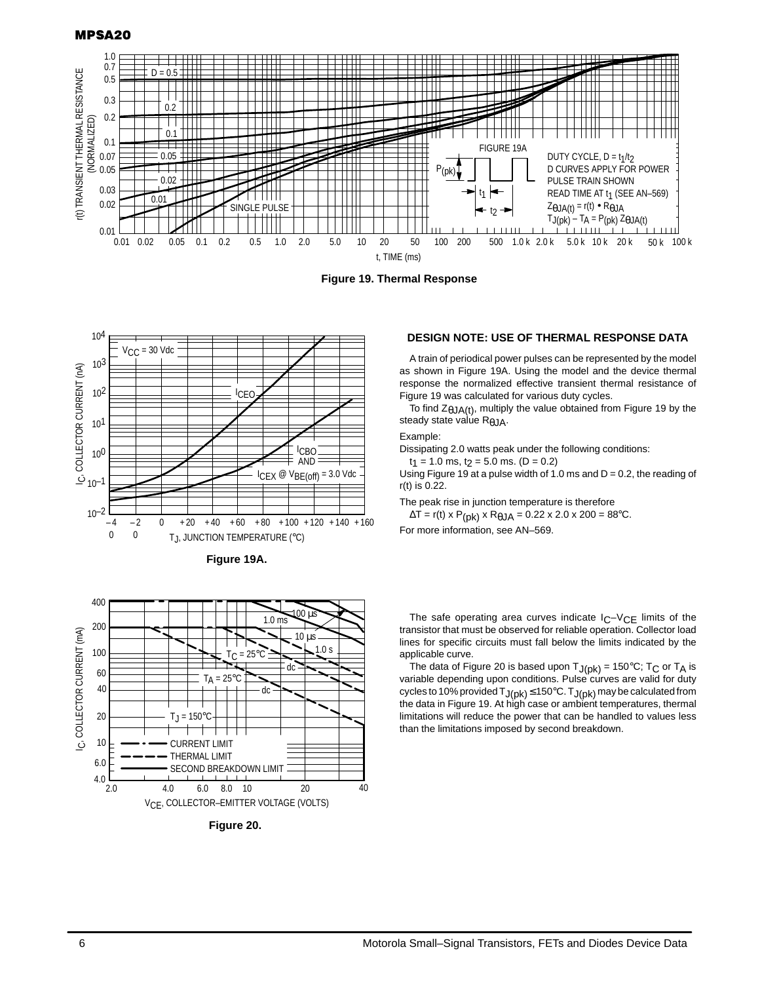#### **MPSA20**







**Figure 19A.**



**Figure 20.** 

#### **DESIGN NOTE: USE OF THERMAL RESPONSE DATA**

A train of periodical power pulses can be represented by the model as shown in Figure 19A. Using the model and the device thermal response the normalized effective transient thermal resistance of Figure 19 was calculated for various duty cycles.

To find  $Z_{\theta JA(t)}$ , multiply the value obtained from Figure 19 by the steady state valúe R<sub>θJA</sub>.

#### Example:

Dissipating 2.0 watts peak under the following conditions:

 $t_1 = 1.0$  ms,  $t_2 = 5.0$  ms. (D = 0.2)

Using Figure 19 at a pulse width of 1.0 ms and  $D = 0.2$ , the reading of r(t) is 0.22.

The peak rise in junction temperature is therefore

 $\Delta T = r(t) \times P(pk) \times R_{\theta} J A = 0.22 \times 2.0 \times 200 = 88^{\circ}C.$ 

For more information, see AN–569.

The safe operating area curves indicate  $IC-VCE$  limits of the transistor that must be observed for reliable operation. Collector load lines for specific circuits must fall below the limits indicated by the applicable curve.

The data of Figure 20 is based upon  $T_{J(pk)} = 150^{\circ}C$ ; T<sub>C</sub> or T<sub>A</sub> is variable depending upon conditions. Pulse curves are valid for duty cycles to 10% provided  $T_{J(pk)} \leq$  150°C.  $T_{J(pk)}$  may be calculated from the data in Figure 19. At high case or ambient temperatures, thermal limitations will reduce the power that can be handled to values less than the limitations imposed by second breakdown.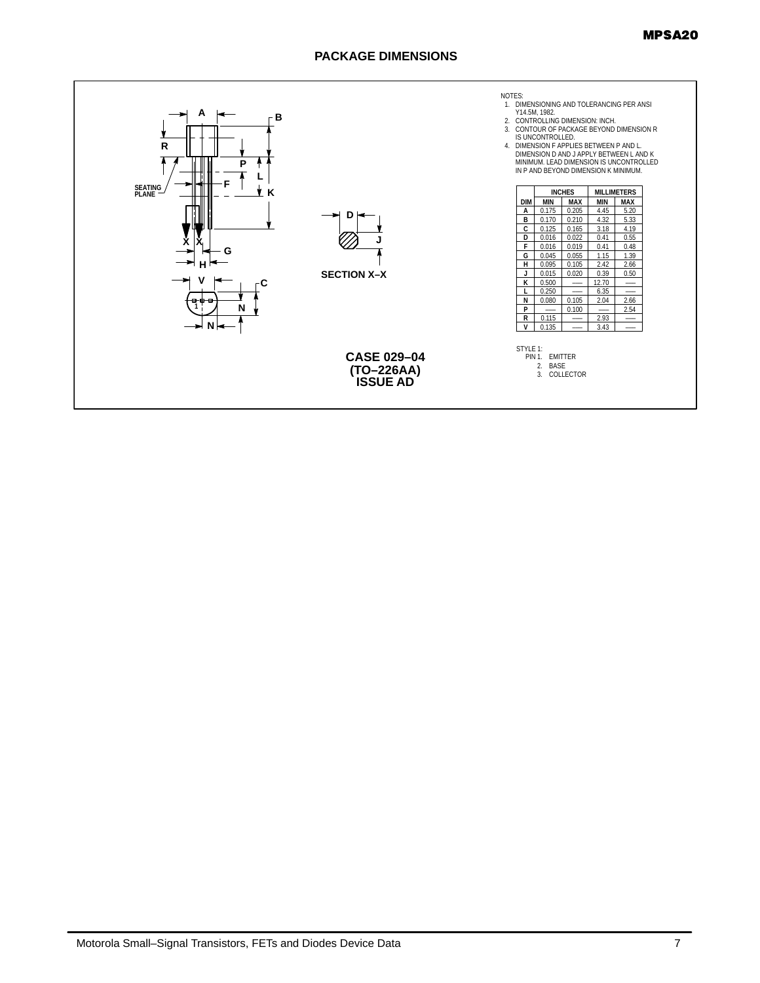## **PACKAGE DIMENSIONS**